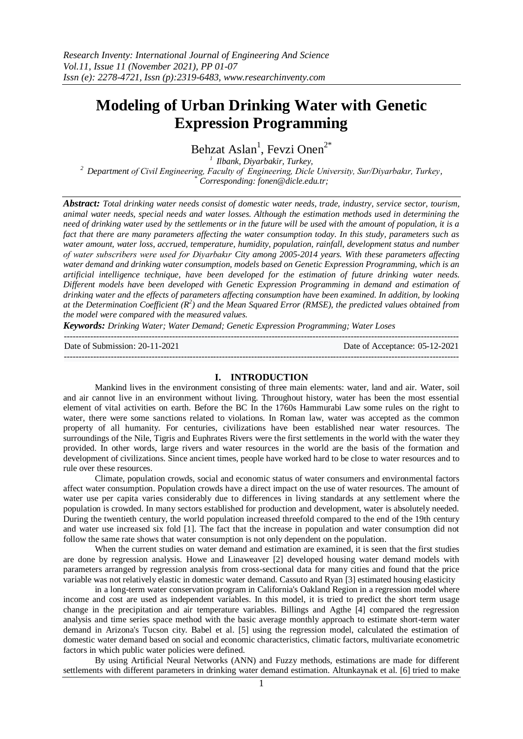# **Modeling of Urban Drinking Water with Genetic Expression Programming**

Behzat Aslan<sup>1</sup>, Fevzi Onen<sup>2\*</sup>

*<sup>1</sup>Ilbank, Diyarbakir, Turkey, <sup>2</sup>Department of Civil Engineering, Faculty of Engineering, Dicle University, Sur/Diyarbakır, Turkey, \* Corresponding[: fonen@dicle.edu.tr;](mailto:fonen@dicle.edu.tr)*

*Abstract: Total drinking water needs consist of domestic water needs, trade, industry, service sector, tourism, animal water needs, special needs and water losses. Although the estimation methods used in determining the need of drinking water used by the settlements or in the future will be used with the amount of population, it is a fact that there are many parameters affecting the water consumption today. In this study, parameters such as water amount, water loss, accrued, temperature, humidity, population, rainfall, development status and number of water subscribers were used for Diyarbakır City among 2005-2014 years. With these parameters affecting water demand and drinking water consumption, models based on Genetic Expression Programming, which is an artificial intelligence technique, have been developed for the estimation of future drinking water needs. Different models have been developed with Genetic Expression Programming in demand and estimation of drinking water and the effects of parameters affecting consumption have been examined. In addition, by looking at the Determination Coefficient (R<sup>2</sup> ) and the Mean Squared Error (RMSE), the predicted values obtained from the model were compared with the measured values.*

*Keywords: Drinking Water; Water Demand; Genetic Expression Programming; Water Loses*

Date of Submission: 20-11-2021 Date of Acceptance: 05-12-2021

#### **I. INTRODUCTION**

---------------------------------------------------------------------------------------------------------------------------------------

---------------------------------------------------------------------------------------------------------------------------------------

Mankind lives in the environment consisting of three main elements: water, land and air. Water, soil and air cannot live in an environment without living. Throughout history, water has been the most essential element of vital activities on earth. Before the BC In the 1760s Hammurabi Law some rules on the right to water, there were some sanctions related to violations. In Roman law, water was accepted as the common property of all humanity. For centuries, civilizations have been established near water resources. The surroundings of the Nile, Tigris and Euphrates Rivers were the first settlements in the world with the water they provided. In other words, large rivers and water resources in the world are the basis of the formation and development of civilizations. Since ancient times, people have worked hard to be close to water resources and to rule over these resources.

Climate, population crowds, social and economic status of water consumers and environmental factors affect water consumption. Population crowds have a direct impact on the use of water resources. The amount of water use per capita varies considerably due to differences in living standards at any settlement where the population is crowded. In many sectors established for production and development, water is absolutely needed. During the twentieth century, the world population increased threefold compared to the end of the 19th century and water use increased six fold [1]. The fact that the increase in population and water consumption did not follow the same rate shows that water consumption is not only dependent on the population.

When the current studies on water demand and estimation are examined, it is seen that the first studies are done by regression analysis. Howe and Linaweaver [2] developed housing water demand models with parameters arranged by regression analysis from cross-sectional data for many cities and found that the price variable was not relatively elastic in domestic water demand. Cassuto and Ryan [3] estimated housing elasticity

in a long-term water conservation program in California's Oakland Region in a regression model where income and cost are used as independent variables. In this model, it is tried to predict the short term usage change in the precipitation and air temperature variables. Billings and Agthe [4] compared the regression analysis and time series space method with the basic average monthly approach to estimate short-term water demand in Arizona's Tucson city. Babel et al. [5] using the regression model, calculated the estimation of domestic water demand based on social and economic characteristics, climatic factors, multivariate econometric factors in which public water policies were defined.

By using Artificial Neural Networks (ANN) and Fuzzy methods, estimations are made for different settlements with different parameters in drinking water demand estimation. Altunkaynak et al. [6] tried to make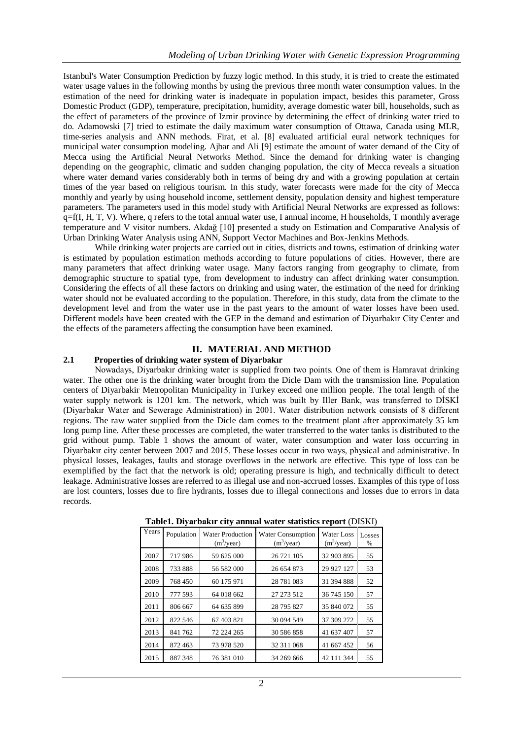Istanbul's Water Consumption Prediction by fuzzy logic method. In this study, it is tried to create the estimated water usage values in the following months by using the previous three month water consumption values. In the estimation of the need for drinking water is inadequate in population impact, besides this parameter, Gross Domestic Product (GDP), temperature, precipitation, humidity, average domestic water bill, households, such as the effect of parameters of the province of Izmir province by determining the effect of drinking water tried to do. Adamowski [7] tried to estimate the daily maximum water consumption of Ottawa, Canada using MLR, time-series analysis and ANN methods. Firat, et al. [8] evaluated artificial eural network techniques for municipal water consumption modeling. Ajbar and Ali [9] estimate the amount of water demand of the City of Mecca using the Artificial Neural Networks Method. Since the demand for drinking water is changing depending on the geographic, climatic and sudden changing population, the city of Mecca reveals a situation where water demand varies considerably both in terms of being dry and with a growing population at certain times of the year based on religious tourism. In this study, water forecasts were made for the city of Mecca monthly and yearly by using household income, settlement density, population density and highest temperature parameters. The parameters used in this model study with Artificial Neural Networks are expressed as follows:  $q=f(I, H, T, V)$ . Where, q refers to the total annual water use, I annual income, H households, T monthly average temperature and V visitor numbers. Akdağ [10] presented a study on Estimation and Comparative Analysis of Urban Drinking Water Analysis using ANN, Support Vector Machines and Box-Jenkins Methods.

While drinking water projects are carried out in cities, districts and towns, estimation of drinking water is estimated by population estimation methods according to future populations of cities. However, there are many parameters that affect drinking water usage. Many factors ranging from geography to climate, from demographic structure to spatial type, from development to industry can affect drinking water consumption. Considering the effects of all these factors on drinking and using water, the estimation of the need for drinking water should not be evaluated according to the population. Therefore, in this study, data from the climate to the development level and from the water use in the past years to the amount of water losses have been used. Different models have been created with the GEP in the demand and estimation of Diyarbakır City Center and the effects of the parameters affecting the consumption have been examined.

# **II. MATERIAL AND METHOD**

# **2.1 Properties of drinking water system of Diyarbakır**

Nowadays, Diyarbakır drinking water is supplied from two points. One of them is Hamravat drinking water. The other one is the drinking water brought from the Dicle Dam with the transmission line. Population centers of Diyarbakir Metropolitan Municipality in Turkey exceed one million people. The total length of the water supply network is 1201 km. The network, which was built by Iller Bank, was transferred to DİSKİ (Diyarbakır Water and Sewerage Administration) in 2001. Water distribution network consists of 8 different regions. The raw water supplied from the Dicle dam comes to the treatment plant after approximately 35 km long pump line. After these processes are completed, the water transferred to the water tanks is distributed to the grid without pump. Table 1 shows the amount of water, water consumption and water loss occurring in Diyarbakır city center between 2007 and 2015. These losses occur in two ways, physical and administrative. In physical losses, leakages, faults and storage overflows in the network are effective. This type of loss can be exemplified by the fact that the network is old; operating pressure is high, and technically difficult to detect leakage. Administrative losses are referred to as illegal use and non-accrued losses. Examples of this type of loss are lost counters, losses due to fire hydrants, losses due to illegal connections and losses due to errors in data records.

| Years | Population | <b>Water Production</b><br>(m <sup>3</sup> /year) | <b>Water Consumption</b><br>(m <sup>3</sup> /year) | <b>Water Loss</b><br>(m <sup>3</sup> /year) | Losses<br>% |
|-------|------------|---------------------------------------------------|----------------------------------------------------|---------------------------------------------|-------------|
| 2007  | 717986     | 59 625 000                                        | 26 721 105                                         | 32 903 895                                  | 55          |
| 2008  | 733888     | 56 582 000                                        | 26 654 873                                         | 29 927 127                                  | 53          |
| 2009  | 768450     | 60 175 971                                        | 28 781 083                                         | 31 394 888                                  | 52          |
| 2010  | 777 593    | 64 018 662                                        | 27 273 512                                         | 36 745 150                                  | 57          |
| 2011  | 806 667    | 64 635 899                                        | 28 795 827                                         | 35 840 072                                  | 55          |
| 2012  | 822 546    | 67 403 821                                        | 30 094 549                                         | 37 309 272                                  | 55          |
| 2013  | 841762     | 72 224 265                                        | 30 586 858                                         | 41 637 407                                  | 57          |
| 2014  | 872 463    | 73 978 520                                        | 32 311 068                                         | 41 667 452                                  | 56          |
| 2015  | 887348     | 76 381 010                                        | 34 269 666                                         | 42 111 344                                  | 55          |

**Table1. Diyarbakır city annual water statistics report** (DISKI)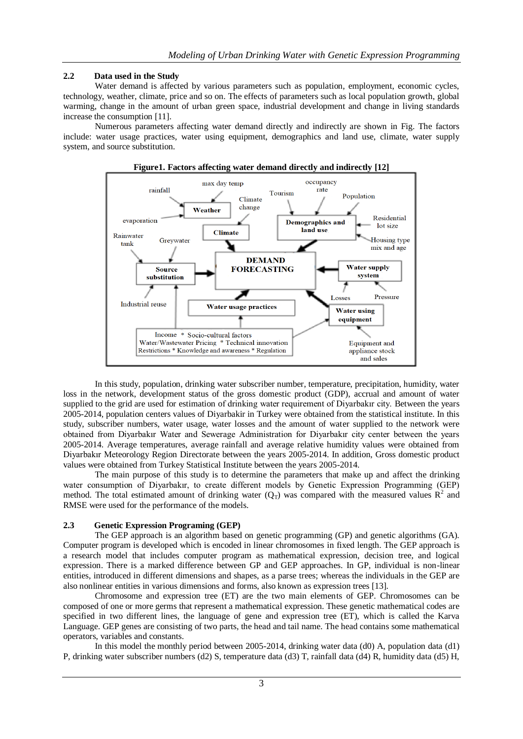# **2.2 Data used in the Study**

Water demand is affected by various parameters such as population, employment, economic cycles, technology, weather, climate, price and so on. The effects of parameters such as local population growth, global warming, change in the amount of urban green space, industrial development and change in living standards increase the consumption [11].

Numerous parameters affecting water demand directly and indirectly are shown in Fig. The factors include: water usage practices, water using equipment, demographics and land use, climate, water supply system, and source substitution.



In this study, population, drinking water subscriber number, temperature, precipitation, humidity, water loss in the network, development status of the gross domestic product (GDP), accrual and amount of water supplied to the grid are used for estimation of drinking water requirement of Diyarbakır city. Between the years 2005-2014, population centers values of Diyarbakir in Turkey were obtained from the statistical institute. In this study, subscriber numbers, water usage, water losses and the amount of water supplied to the network were obtained from Diyarbakır Water and Sewerage Administration for Diyarbakır city center between the years 2005-2014. Average temperatures, average rainfall and average relative humidity values were obtained from Diyarbakır Meteorology Region Directorate between the years 2005-2014. In addition, Gross domestic product values were obtained from Turkey Statistical Institute between the years 2005-2014.

The main purpose of this study is to determine the parameters that make up and affect the drinking water consumption of Diyarbakır, to create different models by Genetic Expression Programming (GEP) method. The total estimated amount of drinking water  $(Q_T)$  was compared with the measured values  $\mathbb{R}^2$  and RMSE were used for the performance of the models.

## **2.3 Genetic Expression Programing (GEP)**

The GEP approach is an algorithm based on genetic programming (GP) and genetic algorithms (GA). Computer program is developed which is encoded in linear chromosomes in fixed length. The GEP approach is a research model that includes computer program as mathematical expression, decision tree, and logical expression. There is a marked difference between GP and GEP approaches. In GP, individual is non-linear entities, introduced in different dimensions and shapes, as a parse trees; whereas the individuals in the GEP are also nonlinear entities in various dimensions and forms, also known as expression trees [13].

Chromosome and expression tree (ET) are the two main elements of GEP. Chromosomes can be composed of one or more germs that represent a mathematical expression. These genetic mathematical codes are specified in two different lines, the language of gene and expression tree (ET), which is called the Karva Language. GEP genes are consisting of two parts, the head and tail name. The head contains some mathematical operators, variables and constants.

In this model the monthly period between 2005-2014, drinking water data (d0) A, population data (d1) P, drinking water subscriber numbers (d2) S, temperature data (d3) T, rainfall data (d4) R, humidity data (d5) H,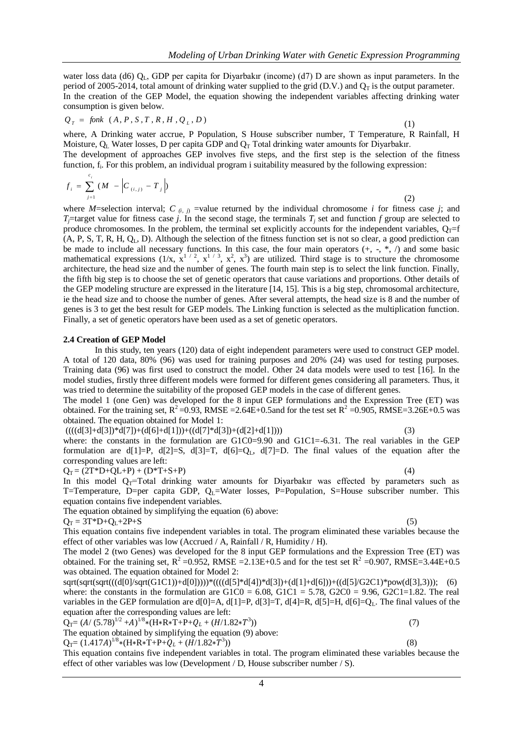water loss data (d6)  $Q_L$ , GDP per capita for Diyarbakır (income) (d7) D are shown as input parameters. In the period of 2005-2014, total amount of drinking water supplied to the grid (D.V.) and  $Q_T$  is the output parameter. In the creation of the GEP Model, the equation showing the independent variables affecting drinking water consumption is given below.

$$
Q_T = f \text{on } (A, P, S, T, R, H, Q_L, D) \tag{1}
$$

where, A Drinking water accrue, P Population, S House subscriber number, T Temperature, R Rainfall, H Moisture,  $Q_L$  Water losses, D per capita GDP and  $Q_T$  Total drinking water amounts for Diyarbakır. The development of approaches GEP involves five steps, and the first step is the selection of the fitness function, f<sub>i</sub>. For this problem, an individual program i suitability measured by the following expression:

$$
f_i = \sum_{j=1}^{c_i} (M - \left| C_{(i,j)} - T_j \right|)
$$
 (2)

where *M*=selection interval; *C*  $_{(i, j)}$  =value returned by the individual chromosome *i* for fitness case *j*; and *T*<sub>i</sub>=target value for fitness case *j*. In the second stage, the terminals  $T_i$  set and function *f* group are selected to produce chromosomes. In the problem, the terminal set explicitly accounts for the independent variables,  $Q_T=f$ (A, P, S, T, R, H, QL, D). Although the selection of the fitness function set is not so clear, a good prediction can be made to include all necessary functions. In this case, the four main operators  $(+, -, *, \wedge)$  and some basic mathematical expressions  $(1/x, x^{1/2}, x^{1/3}, x^2, x^3)$  are utilized. Third stage is to structure the chromosome architecture, the head size and the number of genes. The fourth main step is to select the link function. Finally, the fifth big step is to choose the set of genetic operators that cause variations and proportions. Other details of the GEP modeling structure are expressed in the literature [14, 15]. This is a big step, chromosomal architecture, ie the head size and to choose the number of genes. After several attempts, the head size is 8 and the number of genes is 3 to get the best result for GEP models. The Linking function is selected as the multiplication function. Finally, a set of genetic operators have been used as a set of genetic operators.

## **2.4 Creation of GEP Model**

In this study, ten years (120) data of eight independent parameters were used to construct GEP model. A total of 120 data, 80% (96) was used for training purposes and 20% (24) was used for testing purposes. Training data (96) was first used to construct the model. Other 24 data models were used to test [16]. In the model studies, firstly three different models were formed for different genes considering all parameters. Thus, it was tried to determine the suitability of the proposed GEP models in the case of different genes.

The model 1 (one Gen) was developed for the 8 input GEP formulations and the Expression Tree (ET) was obtained. For the training set,  $R^2 = 0.93$ , RMSE = 2.64E+0.5 and for the test set  $R^2 = 0.905$ , RMSE=3.26E+0.5 was obtained. The equation obtained for Model 1:

 $(((d[3]+d[3]) * d[7]) + (d[6]+d[1])) + ((d[7] * d[3]) + (d[2]+d[1]))$  (3) where: the constants in the formulation are  $G1C0=9.90$  and  $G1C1=-6.31$ . The real variables in the GEP formulation are  $d[1]=P$ ,  $d[2]=S$ ,  $d[3]=T$ ,  $d[6]=Q<sub>L</sub>$ ,  $d[7]=D$ . The final values of the equation after the

corresponding values are left:

 $Q_T = (2T^*D+QL+P) + (D^*T+S+P)$  (4)

In this model  $Q_T$ =Total drinking water amounts for Diyarbakır was effected by parameters such as T=Temperature, D=per capita GDP,  $Q_L$ =Water losses, P=Population, S=House subscriber number. This equation contains five independent variables.

The equation obtained by simplifying the equation (6) above:

 $Q_T = 3T^*D + Q_L + 2P + S$  (5)

This equation contains five independent variables in total. The program eliminated these variables because the effect of other variables was low (Accrued / A, Rainfall / R, Humidity / H).

The model 2 (two Genes) was developed for the 8 input GEP formulations and the Expression Tree (ET) was obtained. For the training set,  $R^2 = 0.952$ , RMSE = 2.13E+0.5 and for the test set  $R^2 = 0.907$ , RMSE=3.44E+0.5 was obtained. The equation obtained for Model 2:

sqrt(sqrt(sqrt(((d[0]/sqrt(G1C1))+d[0]))))\*((((d[5]\*d[4])\*d[3])+(d[1]+d[6]))+((d[5]/G2C1)\*pow(d[3],3))); (6) where: the constants in the formulation are  $G1C0 = 6.08$ ,  $G1C1 = 5.78$ ,  $G2C0 = 9.96$ ,  $G2C1 = 1.82$ . The real variables in the GEP formulation are d[0]=A, d[1]=P, d[3]=T, d[4]=R, d[5]=H, d[6]=Q<sub>L</sub>. The final values of the equation after the corresponding values are left:

 $Q_T = (A/(5.78)^{1/2} + A)^{1/8} * (H * R * T + P + Q_L + (H/1.82 * T^3))$  $(7)$ 

The equation obtained by simplifying the equation (9) above:  $))$  (8)

 $Q_T = (1.417A)^{1/8} * (H * T + P + Q_L + (H/1.82 * T^3))$ 

This equation contains five independent variables in total. The program eliminated these variables because the effect of other variables was low (Development / D, House subscriber number / S).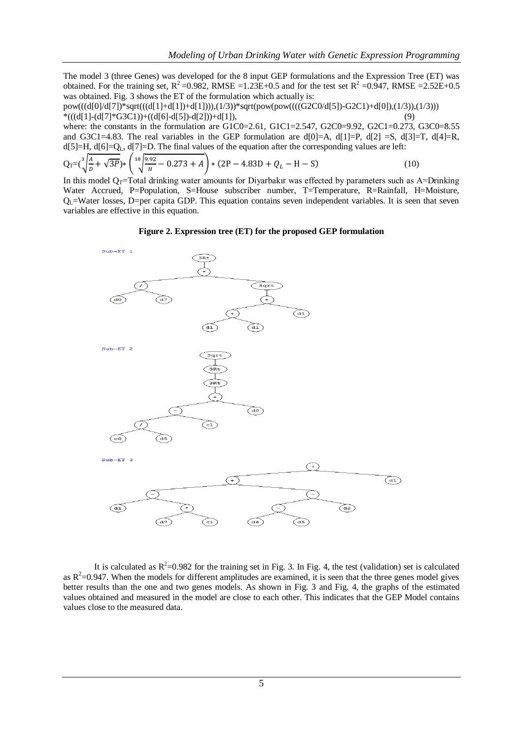The model 3 (three Genes) was developed for the 8 input GEP formulations and the Expression Tree (ET) was obtained. For the training set,  $R^2 = 0.982$ , RMSE =1.23E+0.5 and for the test set  $R^2 = 0.947$ , RMSE =2.52E+0.5 was obtained. Fig. 3 shows the ET of the formulation which actually is:

pow(((d[0]/d[7])\*sqrt(((d[1]+d[1])+d[1]))),(1/3))\*sqrt(pow(pow((((G2C0/d[5])-G2C1)+d[0]),(1/3)),(1/3))) \*(((d[1]-(d[7]\*G3C1))+((d[6]-d[5])-d[2]))+d[1]), (9)

where: the constants in the formulation are G1C0=2.61, G1C1=2.547, G2C0=9.92, G2C1=0.273, G3C0=8.55 and G3C1=4.83. The real variables in the GEP formulation are  $d[0]=A$ ,  $d[1]=P$ ,  $d[2]=S$ ,  $d[3]=T$ ,  $d[4]=R$ ,  $d[5]=H, d[6]=Q<sub>L</sub>, d[7]=D$ . The final values of the equation after the corresponding values are left:

$$
Q_T = (\sqrt[3]{\frac{A}{D} + \sqrt{3P}}) * (\sqrt[18]{\frac{9.92}{H} - 0.273 + A}) * (2P - 4.83D + Q_L - H - S)
$$
(10)

In this model  $Q_T$ =Total drinking water amounts for Diyarbakır was effected by parameters such as A=Drinking Water Accrued, P=Population, S=House subscriber number, T=Temperature, R=Rainfall, H=Moisture,  $Q_L$ =Water losses, D=per capita GDP. This equation contains seven independent variables. It is seen that seven variables are effective in this equation.

#### **Figure 2. Expression tree (ET) for the proposed GEP formulation**



It is calculated as  $R^2$ =0.982 for the training set in Fig. 3. In Fig. 4, the test (validation) set is calculated as  $R^2$ =0.947. When the models for different amplitudes are examined, it is seen that the three genes model gives better results than the one and two genes models. As shown in Fig. 3 and Fig. 4, the graphs of the estimated values obtained and measured in the model are close to each other. This indicates that the GEP Model contains values close to the measured data.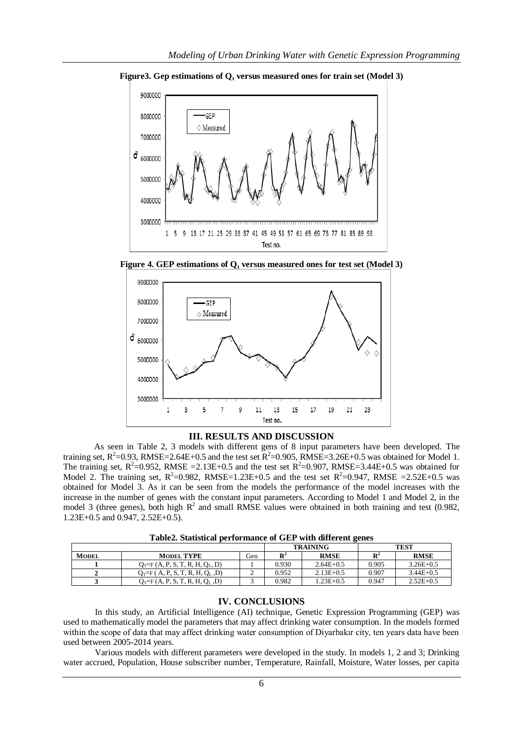

**Figure3. Gep estimations of Q<sup>t</sup> versus measured ones for train set (Model 3)**

**Figure 4. GEP estimations of Q<sup>t</sup> versus measured ones for test set (Model 3)**



## **III. RESULTS AND DISCUSSION**

As seen in Table 2, 3 models with different gens of 8 input parameters have been developed. The training set,  $R^2$ =0.93, RMSE=2.64E+0.5 and the test set  $R^2$ =0.905, RMSE=3.26E+0.5 was obtained for Model 1. The training set,  $R^2$ =0.952, RMSE =2.13E+0.5 and the test set  $R^2$ =0.907, RMSE=3.44E+0.5 was obtained for Model 2. The training set,  $R^2 = 0.982$ , RMSE=1.23E+0.5 and the test set  $R^2 = 0.947$ , RMSE =2.52E+0.5 was obtained for Model 3. As it can be seen from the models the performance of the model increases with the increase in the number of genes with the constant input parameters. According to Model 1 and Model 2, in the model 3 (three genes), both high  $R^2$  and small RMSE values were obtained in both training and test (0.982, 1.23E+0.5 and 0.947, 2.52E+0.5).

|  | Table2. Statistical performance of GEP with different genes |  |
|--|-------------------------------------------------------------|--|
|--|-------------------------------------------------------------|--|

|              |                                     |     | <b>TRAINING</b> |               | <b>TEST</b>    |             |
|--------------|-------------------------------------|-----|-----------------|---------------|----------------|-------------|
| <b>MODEL</b> | <b>MODEL TYPE</b>                   | Gen | D4              | <b>RMSE</b>   | $\mathbf{R}^2$ | <b>RMSE</b> |
|              | $Q_T = F(A, P, S, T, R, H, Q_L, D)$ |     | 0.930           | $2.64E + 0.5$ | 0.905          | $3.26E+0.5$ |
|              | $Q_T = F(A, P, S, T, R, H, Q_L, D)$ |     | 0.952           | $2.13E+0.5$   | 0.907          | $3.44E+0.5$ |
|              | $Q_T = F(A, P, S, T, R, H, Q_L, D)$ |     | 0.982           | $1.23E + 0.5$ | 0.947          | $2.52E+0.5$ |

# **IV. CONCLUSIONS**

In this study, an Artificial Intelligence (AI) technique, Genetic Expression Programming (GEP) was used to mathematically model the parameters that may affect drinking water consumption. In the models formed within the scope of data that may affect drinking water consumption of Diyarbakır city, ten years data have been used between 2005-2014 years.

Various models with different parameters were developed in the study. In models 1, 2 and 3; Drinking water accrued, Population, House subscriber number, Temperature, Rainfall, Moisture, Water losses, per capita